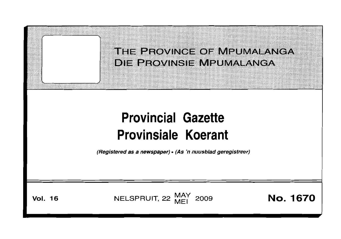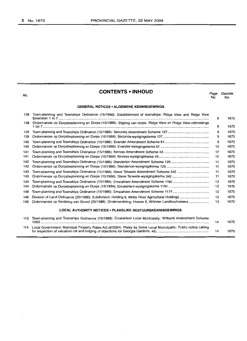No.

# **CONTENTS • INHOUD**

Page Gazette<br>No. No. No. No.

#### **GENERAL NOTICES· ALGEMENE KENNISGEWINGS**

| 138 | Town-planning and Townships Ordinance (15/1986): Establishment of townships: Ridge View and Ridge View       |    |      |  |  |
|-----|--------------------------------------------------------------------------------------------------------------|----|------|--|--|
| 138 | Ordonnansie op Dorpsbeplanning en Dorpe (15/1986): Stigting van dorpe: Ridge View en Ridge View-uitbreidings |    |      |  |  |
| 139 |                                                                                                              | 9  | 1670 |  |  |
| 139 |                                                                                                              | 9  | 1670 |  |  |
| 140 |                                                                                                              | 9  | 1670 |  |  |
| 140 |                                                                                                              | 10 | 1670 |  |  |
| 141 |                                                                                                              | 10 | 1670 |  |  |
| 141 |                                                                                                              | 10 | 1670 |  |  |
| 142 |                                                                                                              | 11 | 1670 |  |  |
| 142 |                                                                                                              | 11 | 1670 |  |  |
| 143 |                                                                                                              | 11 | 1670 |  |  |
| 143 |                                                                                                              | 11 | 1670 |  |  |
| 144 |                                                                                                              | 12 | 1670 |  |  |
| 144 |                                                                                                              | 12 | 1670 |  |  |
| 148 |                                                                                                              | 12 | 1670 |  |  |
| 149 |                                                                                                              | 13 | 1670 |  |  |
| 149 | Ordonnansie op Verdeling van Grond (20/1986): Onderverdeling: Hoewe 6, Witrivier Landbouhoewes               | 13 | 1670 |  |  |
|     | <b>LOCAL AUTHORITY NOTICES . PLAASLIKE BESTUURSKENNISGEWINGS</b>                                             |    |      |  |  |
| 113 | Town-planning and Townships Ordinance (15/1986): Emalahleni Local Municipaliy: Witbank Amendment Scheme      | 14 | 1670 |  |  |

114 Local Government: Municipal Property Rates Act.(6/2004): Pixley ka Seme Local Municipality: Public notice calling for inspection of valuation roll and lodging of objections for Georgia Gardens, etc . 14 1670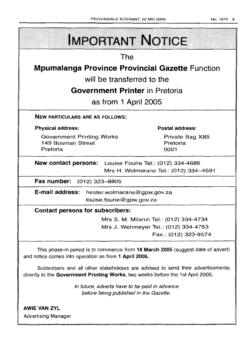| <b>IMPORTANT NOTICE</b>                                                                                                                                            |  |  |  |  |  |
|--------------------------------------------------------------------------------------------------------------------------------------------------------------------|--|--|--|--|--|
| The                                                                                                                                                                |  |  |  |  |  |
| <b>Mpumalanga Province Provincial Gazette Function</b>                                                                                                             |  |  |  |  |  |
| will be transferred to the                                                                                                                                         |  |  |  |  |  |
| <b>Government Printer</b> in Pretoria                                                                                                                              |  |  |  |  |  |
| as from 1 April 2005                                                                                                                                               |  |  |  |  |  |
| <b>NEW PARTICULARS ARE AS FOLLOWS:</b>                                                                                                                             |  |  |  |  |  |
| <b>Physical address:</b><br><b>Postal address:</b>                                                                                                                 |  |  |  |  |  |
| <b>Government Printing Works</b><br>Private Bag X85<br>149 Bosman Street<br>Pretoria<br>Pretoria<br>0001                                                           |  |  |  |  |  |
| New contact persons: Louise Fourie Tel.: (012) 334-4686<br>Mrs H. Wolmarans Tel.: (012) 334-4591                                                                   |  |  |  |  |  |
| Fax number: (012) 323-8805                                                                                                                                         |  |  |  |  |  |
| E-mail address:<br>hester.wolmarans@gpw.gov.za<br>louise.fourie@gpw.gov.za                                                                                         |  |  |  |  |  |
| <b>Contact persons for subscribers:</b>                                                                                                                            |  |  |  |  |  |
| Mrs S. M. Milanzi Tel.: (012) 334-4734<br>Mrs J. Wehmeyer Tel.: (012) 334-4753<br>Fax.: (012) 323-9574                                                             |  |  |  |  |  |
| This phase-in period is to commence from 18 March 2005 (suggest date of advert)<br>and notice comes into operation as from 1 April 2005.                           |  |  |  |  |  |
| Subscribers and all other stakeholders are advised to send their advertisements<br>directly to the Government Printing Works, two weeks before the 1st April 2005. |  |  |  |  |  |
| In future, adverts have to be paid in advance<br>before being published in the Gazette.                                                                            |  |  |  |  |  |
| <b>AWIE VAN ZYL</b><br><b>Advertising Manager</b>                                                                                                                  |  |  |  |  |  |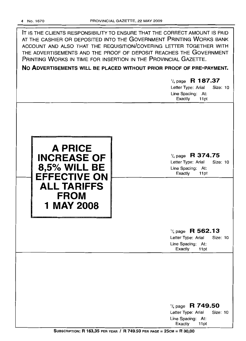| IT IS THE CLIENTS RESPONSIBILITY TO ENSURE THAT THE CORRECT AMOUNT IS PAID<br>AT THE CASHIER OR DEPOSITED INTO THE GOVERNMENT PRINTING WORKS BANK<br>ACCOUNT AND ALSO THAT THE REQUISITION/COVERING LETTER TOGETHER WITH<br>THE ADVERTISEMENTS AND THE PROOF OF DEPOSIT REACHES THE GOVERNMENT<br>PRINTING WORKS IN TIME FOR INSERTION IN THE PROVINCIAL GAZETTE. |                  |  |  |  |  |  |  |
|-------------------------------------------------------------------------------------------------------------------------------------------------------------------------------------------------------------------------------------------------------------------------------------------------------------------------------------------------------------------|------------------|--|--|--|--|--|--|
| NO ADVERTISEMENTS WILL BE PLACED WITHOUT PRIOR PROOF OF PRE-PAYMENT.                                                                                                                                                                                                                                                                                              |                  |  |  |  |  |  |  |
| $\frac{1}{4}$ page R 187.37<br>Letter Type: Arial<br>Line Spacing: At:<br>Exactly                                                                                                                                                                                                                                                                                 | Size: 10<br>11pt |  |  |  |  |  |  |
|                                                                                                                                                                                                                                                                                                                                                                   |                  |  |  |  |  |  |  |



1/4 page **R 374.75** Letter Type: Arial Size: 10

Line Spacing: At: Exactly 11pt

1/4 page **R 562.13**

Letter Type: Arial Size: 10 Line Spacing: At: Exactly 11pt

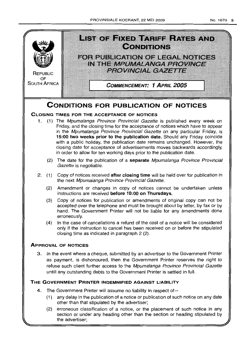



- accepted over the telephone and must be brought about by letter, by fax or by hand. The Government Printer will not be liable for any amendments done erroneously.
- (4) In the case of cancellations a refund of the cost of a notice will be considered only if the instruction to cancel has been received on or before the stipulated closing time as indicated in paragraph 2 (2).

# **ApPROVAL OF NOTICES**

3. In the event where a cheque, submitted by an advertiser to the Government Printer as payment, is dishonoured, then the Government Printer reserves the right to refuse such client further access to the Mpumalanga Province Provincial Gazette untill any outstanding debts to the Government Printer is settled in full.

# **THE GOVERNMENT PRINTER INDEMNIFIED AGAINST LIABILITY**

- 4. The Government Printer will assume no liability in respect of-
	- (1) any delay in the publication of a notice or publication of such notice on any date other than that stipulated by the advertiser;
	- (2) erroneous classification of a notice, or the placement of such notice in any section or under any heading other than the section or heading stipulated by the advertiser;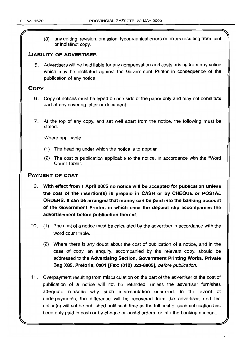r

(3) any editing, revision, omission, typographical errors or errors resulting from faint or indistinct copy.

#### LIABILITY OF ADVERTISER

5. Advertisers will be held liable for any compensation and costs arising from any action which may be instituted against the Government Printer in consequence of the publication of any notice.

### **COPY**

- 6. Copy of notices must be typed on one side of the paper only and may not constitute part of any covering letter or document.
- 7. At the top of any copy, and set well apart from the notice, the following must be stated:

Where applicable

- (1) The heading under which the notice is to appear.
- (2) The cost of publication applicable to the notice, in accordance with the "Word Count Table".

### PAYMENT OF COST

- 9. With effect from 1 April 2005 no notice will be accepted for publication unless the cost of the insertion(s) is prepaid in CASH or by CHEQUE or POSTAL ORDERS. It can be arranged that money can be paid into the banking account of the Government Printer, in which case the deposit slip accompanies the advertisement before publication thereof.
- 10. (1) The cost of a notice must be calculated by the advertiser in accordance with the word count table.
	- (2) Where there is any doubt about the cost of publication of a notice, and in the case of copy, an enquiry, accompanied by the relevant copy, should be addressed to the Advertising Section, Government Printing Works, Private Bag X85, Pretoria, 0001 [Fax: (012) 323-8805], before publication.
- 11. Overpayment resulting from miscalculation on the part of the advertiser of the cost of publication of a notice will not be refunded, unless the advertiser furnishes adequate reasons why such miscalculation occurred. In the event of underpayments, the difference will be recovered from the advertiser, and the notice(s) will not be published until such time as the full cost of such publication has been duly paid in cash or by cheque or postal orders, or into the banking account.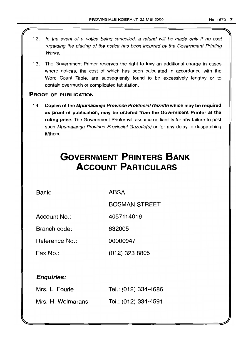- 12. In the event of a notice being cancelled, a refund will be made only if no cost regarding the placing of the notice has been incurred by the Government Printing Works.
- 13. The Government Printer reserves the right to levy an additional charge in cases where notices, the cost of which has been calculated in accordance with the Word Count Table, are subsequently found to be excessively lengthy or to contain overmuch or complicated tabulation.

### PROOF OF PUBLICATION

14. Copies of the Mpumalanga Province Provincial Gazette which may be required as proof of pubflcation, may be ordered from the Government Printer at the ruling price. The Government Printer will assume no liability for any failure to post such Mpumalanga Province Provincial Gazette(s) or for any delay in despatching it/them.

# **GOVERNMENT PRINTERS BANK ACCOUNT PARTICULARS**

Bank: ABSA

BOSMAN STREET

Account No.: 4057114016

Branch code: 632005

Reference No.: 00000047

Fax No.: (012) 323 8805

# Enquiries:

| Mrs. L. Fourie    | Tel.: (012) 334-4686 |
|-------------------|----------------------|
| Mrs. H. Wolmarans | Tel.: (012) 334-4591 |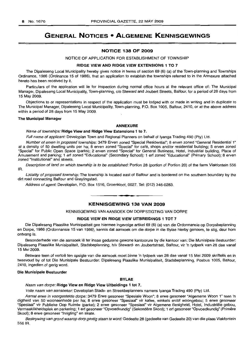# GENERAL NOTICES • ALGEMENE KENNISGEWINGS

#### NOTICE 138 OF 2009

#### NOTICE OF APPLICATION FOR ESTABLISHMENT OF TOWNSHIP

#### RIDGE VIEW AND RIDGE VIEW EXTENSIONS 1 TO 7

The Dipaleseng Local Municipality hereby gives notice in terms of section 69 (6) (a) of the Town-planning and Townships Ordinance, 1986 (Ordinance 15 of 1986), that an application to establish the townships referred to in the Annexure attached hereto has been received by it.

Particulars of the application will lie for inspection during normal office hours at the relevant office of: The Municipal Manager, Dipaleseng Local Municipality, Town-planning, c/o Steward and Joubert Streets, Balfour, for a period of 28 days from 15 May 2009.

Objections to or representations in respect of the application must be lodged with or made in writing and in duplicate to The Municipal Manager, Dipaleseng Local Municipality, Town-planning, P.O. Box 1005, Balfour, 2410, or at the above address within a period of 28 days from 15 May 2009.

#### The Municipal Manager

#### ANNEXURE

Name of townships: Ridge View and Ridge View Extensions 1 to 7.

Full name of applicant: Developlan Town and Regional Planners on behalf of Iyanga Trading 490 (Pty) Ltd.

Number of erven in proposed townships: 3479 Erven zoned "Special Residential"; 8 erven zoned "General Residential 1" at a density of 50 dwelling units per ha; 8 erven zoned "Special" for cafe, shops and/or residential building; 5 erven zoned "Special" for Public Open Space (parks); 2 erven zoned "Special" for General Business, Hotel, Industrial building, Place of Amusement and parking; 1 ert zoned "Educational" (Secondary School); 1 ert zoned "Educational" (Primary School); 8 erven zoned "Institutional" and streets.

Description of land on which township is to be established: Portion 28 (portion of Portion 20) of the farm Vlakfontein 556 IR.

Locality of proposed township: The township is located east of Balfour and is bordered on the southern boundary by the dirt road connecting Balfour and Greylingstad.

Address of agent: Developlan, P.O. Box 1516, Groenkloof, 0027. Tel: (012) 346-0283.

# • **• •** KENNISGEWING 138 VAN 2009

#### KENNISGEWING VAN AANSOEK OM DORPSTIGTING VAN DORPE

#### RIDGE VIEW EN RIDGE VIEW UITBREIDINGS 1 TOT 7

Die Dipaleseng Plaaslike Munisipaliteit gee hiermee ingevolge artikel 69 (6) (a) van die Ordonnansie op Dorpsbeplanning en Dorpe, 1986 (Ordonnansie 15 van 1986), kennis dat aansoek om die dorpe in die Bylae hierby genoem, te stig, deur hom ontvang is.

Besonderhede van die aansoek lê ter insae gedurene gewone kantoorure by die kantoor van: Die Munisipale Bestuurder: Dipaleseng Plaaslike Munisipaliteit, Stadsbeplanning, h/v Steward- en Joubertstraat, Balfour, vir 'n tydperk van 28 dae vanaf 15 Mei 2009.

Besware teen of vertoë ten opsigte van die aansoek moet binne 'n tydperk van 28 dae vanaf 15 Mei 2009 skriftelik en in tweevoud by of tot Die Munisipale Bestuurder: Dipaleseng Plaaslike Munisipaliteit, Stadsbeplanning, Posbus 1005, Balfour, 2410, ingedien of gerig word.

#### Die Munisipale Bestuurder

#### BYLAE

Naam van dorpe: Ridge View en Ridge View Uitbeidings 1 tot 7.

Volle naam van aansoeker: Developlan Stads- en Streekbeplanners namens lyanga Trading 490 (Pty) Ltd.

Aantal erwe in voorgestelde dorpe: 3479 Erwe gesoneer "Spesiale Woon"; 8 erwe gesoneer "Algemene Woon 1" teen 'n digtheid van 50 wooneenhede per ha; 8 erwe gesoneer "Spesiaal" vir kafee, winkels en/of woongebou; 5 erwe gesoneer "Spesiaal" vir Publieke Oop Ruimte (parke); 2 erwe gesoneer "Spesiaal" vir Algemene Besigheid, Hotel, Industriele gebou, Vermaaklikheidsplek en parkering; 1 ert gesoneer "Opvoedkundig" (Sekondere Skool); 1 ert gesoneer "Opvoedkundig" (Primere Skool); 8 erwe gesoneer "Inrigting" en strate.

Beskrywing van grond waarop dorp gestig staan te word: Gedeelte 28 (gedeelte van Gedeelte 20) van die plaas Vlakfontein 5561R.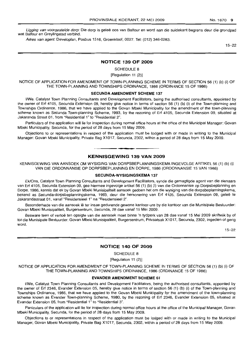Ligging van voorgestelde dorp: Die dorp is geleë oos van Balfour en word aan die suidekant begrens deur die grondpad wat Balfour en Greylingstad verbind.

Adres van agent: Developlan, Posbus 1516, Groenkloof, 0027. Tel: (012) 346-0283.

15-22

#### **NOTICE 139 OF 2009**

SCHEDULE 8

[Regulation 11 (2)]

NOTICE OF APPLICATION FOR AMENDMENT OF TOWN-PLANNING SCHEME IN TERMS OF SECTION 56 (1) (b) (i) OF THE TOWN-PLANNING AND TOWNSHIPS ORDINANCE, 1986 (ORDINANCE 15 OF 1986)

#### **SECUNDA AMENDMENT SCHEME** 137

I/We, Catalyst Town Planning Consultants and Development Facilitators, being the authorised consultants, appointed by the owner of Erf 4105, Secunda Extension 09, hereby give notice in terms of section 56 (1) (b) (i) of the Town-planning and Townships Ordinance, 1986, that we have applied to the Govan Mbeki Municipality for the amendment of the town-planning scheme known as Secunda Town-planning Scheme, 1993, by the rezoning of Erf 4105, Secunda Extension 09, situated at Jakaranda Street 01, from "Residential 1" to "Residential 2".

Particulars of the application will lie for inspection during normal office hours at the office of the Municipal Manager: Govan Mbeki Municipality, Secunda, for the period of 28 days from 15 May 2009.

Objections to or representations in respect of the application must be lodged with or made in writing to the Municipal Manager: Govan Mbeki Municipality, Private Bag X1017, Secunda, 2302, within a period of 28 days from 15 May 2009.

#### **KENNISGEWING 139 VAN 2009**

**• I**

KENNISGEWING VAN AANSOEK OM WYSIGING VAN DORPSBEPLANNINGSKEMA INGEVOLGE ARTIKEL 56 (1) (b) (i) VAN DIE ORDONNANSIE OP DORPSBEPLANNING EN DORPE, 1986 (ORDONNANSIE 15 VAN 1986)

#### **SECUNDA-WYSIGINGSKEMA** 137

EkiOns, Catalyst Town Planning Consultants and Development Facilitators, synde die gemagtigde agent van die eienaars van Erf 4105, Secunda Extension 09, gee hiermee ingevolge artikel 56 (1) (b) (i) van die Ordonnansie op Dorpsbeplanning en Dorpe, 1986, kennis dat ek by Govan Mbeki Munisipaliteit aansoek gedoen het om die wysiging van die dorpsbeplanningskema, bekend as Secunda-dorpsbeplanningskema, 1993, deur die hersonering van Erf 4105, Secunda Extension 09, geleë te Jakarandastraat 01, vanaf "Residensieel 1" na "Residensieel 2".

Besonderhede van die aansoek lê ter insae gedurende gewone kantoor-ure by die kantoor van die Munisipale Bestuurder: Govan Mbeki Munisipaliteit, Burgersentrum, Secunda, 28 dae vanaf 15 Mei 2009.

Besware teen of vertoë ten opsigte van die aansoek moet binne 'n tydperk van 28 dae vanaf 15 Mei 2009 skriftelik by of tot die Munisipale Bestuurder: Govan Mbeki Munisipaliteit, Burgersentrum, Privaatsak X1017, Secunda, 2302, ingedien of gerig word.

15-22

#### **NOTICE 140 OF 2009**

SCHEDULE 8

[Regulation 11 (2)]

NOTICE OF APPLICATION FOR AMENDMENT OF TOWN-PLANNING SCHEME IN TERMS OF SECTION 56 (1) (b) (i) OF THE TOWN-PLANNING AND TOWNSHIPS ORDINANCE, 1986 (ORDINANCE 15 OF 1986)

#### **EVANDER AMENDMENT SCHEME 61**

I/We, Catalyst Town Planning Consultants and Development Facilitators, being the authorised consultants, appointed by the owner of Erf 2346, Evander Extension 05, hereby give notice in terms of section 56 (1) (b) (i) of the Town-planning and Townships Ordinance, 1986, that we have applied to the Govan Mbeki Municipality for the amendment of the town-planning scheme known as Evander Town-planning Scheme, 1980, by the rezoning of Erf 2346, Evander Extension 05, situated at Evander Extension 05, from "Residential 1" to "Residential 3".

Particulars of the application will lie for inspection during normal office hours at the office of the Municipal Manager, Govan Mbeki Municipality, Secunda, for the period of 28 days from 15 May 2009.

Objections to or representations in respect of the application must be lodged with or made in writing to the Municipal Manager, Govan Mbeki Municipality, Private Bag X1017, Secunda, 2302, within a period of 28 days from 15 May 2009.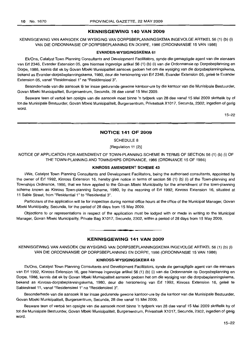#### KENNISGEWING 140 VAN 2009

KENNISGEWING VAN AANSOEK OM WYSIGING VAN DORPSBEPLANNINGSKEMA INGEVOLGE ARTIKEL 56 (1) (b) (i) VAN DIE ORDONNANSIE OP DORPSBEPLANNING EN DORPE, 1986 (ORDONNANSIE 15 VAN 1986)

#### EVANDER-WYSIGINGSKEMA 61

EkJOns, Catalyst Town Planning Consultants and Development Facilitators, synde die gemagtigde agent van die eienaars van Erf 2346, Evander Extension 05, gee hiermee ingevolge artikel 56 (1) (b) (i) van die Ordonnansie op Dorpsbeplanning en Dorpe, 1986, kennis dat ek by Govan Mbeki Munisipaliteit aansoek gedoen het om die wysiging van die dorpsbeplanningskema, bekend as Evander-dorpsbeplanningskema, 1980, deur die hersonering van Erf 2346, Evander Extension 05, geleë te Evander Extension 05, vanaf "Residensieel 1" na "Residensieel 3".

Besonderhede van die aansoek lê ter insae gedurende gewone kantoor-ure by die kantoor van die Munisipale Bestuurder, Govan Mbeki Munisipaliteit, Burgersentrum, Secunda, 28 dae vanaf 15 Mei 2009.

Besware teen of vertoë ten opsigte van die aansoek moet binne 'n tydperk van 28 dae vanaf 15 Mei 2009 skriftelik by of tot die Munisipale Bestuurder, Govan Mbeki Munisipaliteit, Burgersentrum, Privaatsak X1017, Secunda, 2302, ingedien of gerig word.

15-22

#### NOTICE 141 OF 2009

SCHEDULE 8

[Regulation 11 (2)]

NOTICE OF APPLICATION FOR AMENDMENT OF TOWN-PLANNING SCHEME IN TERMS OF SECTION 56 (1) (b) (i) OF THE TOWN-PLANNING AND TOWNSHIPS ORDINANCE, 1986 (ORDINANCE 15 OF 1986)

#### KINROSS AMENDMENT SCHEME 43

I/We, Catalyst Town Planning Consultants and Development Facilitators, being the authorised consultants, appointed by the owner of Erf 1992, Kinross Extension 16, hereby give notice in terms of section 56 (1) (b) (i) of the Town-planning and Townships Ordinance, 1986, that we have applied to the Govan Mbeki Municipality for the amendment of the town-planning scheme known as Kinross Town-planning Scheme, 1980, by the rezoning of Erf 1992, Kinross Extension 16, situated at 11 Sabie Street, from "Residential 1" to "Residential 3".

Particulars of the application will lie for inspection during normal office hours at the office of the Municipal Manager, Govan Mbeki Municipality, Secunda, for the period of 28 days from 15 May 2009.

Objections to or representations in respect of the application must be lodged with or made in writing to the Municipal Manager, Govan Mbeki Municipality, Private Bag X1017, Secunda, 2302, within a period of 28 days from 15 May 2009.

#### KENNISGEWING 141 VAN 2009

**• I**

KENNISGEWING VAN AANSOEK OM WYSIGING VAN DORPSBEPLANNINGSKEMA INGEVOLGE ARTIKEL 56 (1) (b) (i) VAN DIE ORDONNANSIE OP DORPSBEPLANNING EN DORPE, 1986 (ORDONNANSIE 15 VAN 1986)

#### KINROSS-WYSIGINGSKEMA 43

EkJOns, Catalyst Town Planning Consultants and Development Facilitators, synde die gemagtigde agent van die eienaars van Erf 1992, Kinross Extension 16, gee hiermee ingevolge artikel 56 (1) (b) (i) van die Ordonnansie op Dorpsbeplanning en Dorpe, 1986, kennis dat ek by Govan Mbeki Munisipaliteit aansoek gedoen het om die wysiging van die dorpsbeplanningskema, bekend as Kinross-dorpsbeplanningskema, 1980, deur die hersonering van Erf 1992, Kinross Extension 16, geleë te Sabiestraat 11, vanaf "Residensieel 1" na "Residensieel 3".

Besonderhede van die aansoek Ie ter insae gedurende gewone kantoor-ure by die kantoor van die Munisipale Bestuurder, Govan Mbeki Munisipaliteit, Burgersentrum, Secunda, 28 dae vanaf 15 Mei 2009.

Besware teen of vertoë ten opsigte van die aansoek moet binne 'n tydperk van 28 dae vanaf 15 Mei 2009 skriftelik by of tot die Munisipale Bestuurder, Govan Mbeki Munisipaliteit, Burgersentrum, Privaatsak X1017, Secunda, 2302, ingedien of gerig word.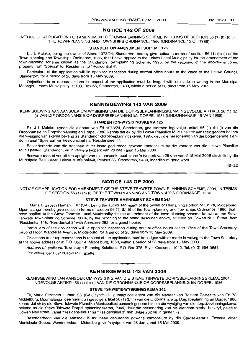#### **NOTICE 142 OF 2009**

NOTICE OF APPLICATION FOR AMENDMENT OF TOWN-PLANNING SCHEME **IN** TERMS OF SECTION 56 (1) (b) (i) OF THE TOWN-PLANNING AND TOWNSHIPS ORDINANCE, 1986 (ORDINANCE 15 OF 1986)

#### **STANDERTON AMENDMENT SCHEME 125**

I, J L Maleke, being the owner of Stand 1073/24, Standerton, hereby give notice in terms of section 56 (1) (b) (i) of the Town-planning and Townships Ordinance, 1986, that I have applied to the Lekwa Local Municipality for the amendment of the town-planning scheme known as the Standerton Town-planning Scheme, 1995, by the rezoning of the above-mentioned property from "Special" for Residential to "Residential 4".

Particulars of the application will lie open for inspection during normal office hours at the office of the Lekwa Council, Standerton, for a period of 28 days from 15 May 2009.

Objections to or representations in respect of the application must be lodged with or made in writing to the Municipal Manager, Lekwa Municipality, at P.O. Box 66, Standerton, 2430, within a period of 28 days from 15 May 2009.

# **• KENNISGEWING 142 VAN 2009**

KENNISGEWING VAN AANSOEK OM WYSIGING VAN DIE DORPSBEPLANNINGSKEMA INGEVOLGE ARTIKEL 56 (1) (b) (i) VAN DIE ORDONNANSIE OP DORPSBEPLANNING EN DORPE, 1986 (ORDONNANSIE 15 VAN 1986)

#### **STANDERTON-WYSIGINGSKEMA 125**

Ek, J L Maleke, synde die eienaar van Erf 1073/24, Standerton, gee hiermee ingevolge artikel 56 (1) (b) (i) van die Ordonnansie op Dorpsbeplanning en Dorpe, 1986, kennis dat ek by die Lekwa Plaaslike Munisipaliteit aansoek gedoen het om die wysiging van skema bekend as Standerton-dorpsbeplanningskema, 1995, deur die hersonering van die bogenoemde eiendom vanaf "Spesiaal" vir Residensieel na "Residensieel 4".

Besonderhede van die aansoek lê ter insae gedurende gewone kantoor-ure by die kantoor van die Lekwa Plaaslike Munisipaliteit, Standerton, vir 'n verdere tydperk van 28 dae vanaf 15 Mei 2009.

Besware teen of vertoe ten opsigte van die aansoek moet binne 'n tydperk van 28 dae vanaf 15 Mei 2009 skriftelik by die Munisipale Bestuurder, Lekwa Munisipaliteit, Posbus 66, Standerton, 2430, ingedien of gerig word.

15-22

#### **NOTICE 143 OF 2009**

NOTICE OF APPLICATION FOR AMENDMENT OF THE STEVE TSHWETE TOWN-PLANNING SCHEME, 2004, IN TERMS OF SECTION 56 (1) (b) (i) OF THE TOWN-PLANNING AND TOWNSHIPS ORDINANCE, 1986

#### **STEVE TSHWETE AMENDMENT SCHEME 342**

I, Maria Elizabeth Human TRP (SA), being the authorised agent of the owner of Remaining Portion of Erf 78, Middelburg, Mpumalanga, hereby give notice in terms of section 56 (1) (b) (i) of the Town-planning and Townships Ordinance, 1986, that I have applied to the Steve Tshwete Local Municipality for the amendment of the town-planning scheme known as the Steve Tshwete Town-planning Scheme, 2004, by the rezoning to the stand described above, situated on Cowen Ntuli Street, from "Residential 1" to "Residential 3" with Annexure 282 for a guest house.

Particulars of the application will lie open for inspection during normal office hours at the office of the Town Secretary, Second Floor, Wanderes Avenue, Middelburg, for a period of 28 days from 15 May 2009.

Objections to or representations in respect of the application must be lodged with or made in writing to the Town Secretary at the above address or at P.O. Box 14, Middelburg, 1050, within a period of 28 days from 15 May 2009.

Address of applicant: Townscape Planning Solutions, P.O. Box 375, River Crescent, 1042. Tel: (013) 656-0554.

Our reference: P09120advProvGazette.

#### **KENNISGEWING 143 VAN 2009**

**• •**

KENNISGEWING VAN AANSOEK OM WYSIGING VAN DIE STEVE TSHWETE DORPSBEPLANNINGSKEMA, 2004, INGEVOLGE ARTIKEL 56 (1) (b) (i) VAN DIE ORDONNANSIE OP DORPSBEPLANNING EN DORPE, 1986

#### **STEVE TSHWETE-WYSIGINGSKEMA 342**

Ek, Maria Elizabeth Human SS (SA), synde die gemagtigde agent van die eienaar van Restant Gedeelte van Erf 78. Middelburg, Mpumalanga, gee hiermee ingevolge artikel 56 (1) (b) (i) van die Ordonnansie op Dorpsbeplanning en Dorpe, 1986. kennis dat ek by die Steve Tshwete Plaaslike Munisipaliteit aansoek gedoen het om die wysiging van die dorpsbeplanningskema. bekend as die Steve Tshwete Dorpsbeplanningskema, 2004, deur die hersonering van die eiendom hierbo beskryf, geleë te Cowen Ntulistraat, vanaf "Residensieel 1" na "Residensieel 3" met Bylae 282 vir 'n gastehuis.

Besonderhede van die aansoek lê ter insae gedurende gewone kantoor-ure by die Stadsekretaris, Tweede Vloer, Munisipale Gebou, Wandererslaan, Middelburg, vir 'n tydperk van 28 dae vanaf 15 Mei 2009.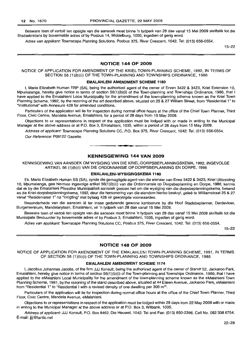Besware teen of vertoë ten opsigte van die aansoek moet binne 'n tydperk van 28 dae vanaf 15 Mei 2009 skriftelik tot die Stadsekretaris by bovermelde adres of by Posbus 14, Middelburg, 1050, ingedien of gerig word.

Adres van applikant: Townscape Planning Solutions, Posbus 375, River Crescent, 1042. Tel: (013) 656-0554.

15-22

#### NOTICE 144 OF 2009

NOTICE OF APPLICATION FOR AMENDMENT OF THE KRIEL TOWN-PLANNING SCHEME, 1992, IN TERMS OF SECTION 56 (1)(b)(i) OF THE TOWN-PLANNING AND TOWNSHIPS ORDINANCE, 1986

#### EMALAHLENI AMENDMENT SCHEME 1180

I, Maria Elizabeth Human TRP (SA), being the authorised agent of the owner of Erven 3422 & 3423, Kriel Extension 10, Mpumalanga, hereby give notice in terms of section 56(1 )(b)(i) of the Town-planning and Townships Ordinance, 1986, that I have applied to the Emalahleni Local Municipality for the amendment of the town-planning scheme known as the Kriel Town Planning Scheme, 1992, by the rezoning of the erf described above, situated on 25 & 27 William Street, from "Residential 1" to "Institutional" with Annexure 428 for amended conditions.

Particulars of the application will lie for inspection during normal office hours at the office of the Chief Town Planner, Third Floor, Civic Centre, Mandela Avenue, Emalahleni, for a period of 28 days from 15 May 2009.

Objections to or representations in. respect of the application must be lodged with or made in writing to the Municipal Manager at the above address or at P.O. Box 3, Emalahleni, 1035, within a period of 28 days from 15 May 2009.

Address of applicant: Townscape Planning Solutions CC, P.O. Box 375, River Crescent, 1042. Tel: (013) 656-0554. Our Reference: P09122 Gazette.

#### KENNISGEWING 144 VAN 2009

**• •**

KENNISGEWING VAN AANSOEK OM WYSIGING VAN DIE KRIEL-DORPSBEPLANNINGSKEMA, 1992, INGEVOLGE ARTIKEL 56 (1)(b)(i) VAN DIE ORDONNANSIE OP DORPSBEPLANNING EN DORPE, 1986

#### EMALAHLENI-WYSIGINGSKEMA 1180

Ek, Maria Elizabeth Human SS (SA), synde die gemagtigde agent van die eienaar van Erwe 3422 & 3423, Kriel Uitbreiding 10, Mpumalanga, gee hiermee ingevolge artikel 56(1)(b)(i) van die Ordonnansie op Dorpsbeplanning en Dorpe, 1986, kennis dat ek by die Emalahleni Plaaslike Munisipaliteit aansoek gedoen het om die wysiging van die dorpsbeplanningskema, bekend as die Kriel-dorpsbeplanningskema, 1992, deur die hersonering van die eiendom hierbo beskryf, gelee te Williamstraat 25 & 27 vanaf "Residensieel 1" na "Inrigting" met bylaag 428 vir gewysigde voorwaardes.

Besonderhede van die aansoek lê ter insae gedurende gewone kantoorure by die Hoof Stadsbeplanner, Derdevloer, Burgersentrum, Mandelarylaan, Emalahleni, vir 'n tydperk van 28 dae vanaf 15 Mei 2009.

Besware teen of vertoë ten opsigte van die aansoek moet binne 'n tydperk van 28 dae vanaf 15 Mei 2009 skriftelik tot die Munisipale Bestuurder by bovermelde adres of by Posbus 3, Emalahleni, 1035, ingedien of gerig word.

Adres van applikant: Townscape Planning Solutions CC, Posbus 375, River Crescent, 1042. Tel: (013) 656-0554.

15-22

#### NOTICE 148 OF 2009

NOTICE OF APPLICATION FOR AMENDMENT OF THE EMALAHLENI TOWN-PLANNING SCHEME, 1991, IN TERMS OF SECTION 56 (1)(b)(i) OF THE TOWN-PLANNING AND TOWNSHIPS ORDINANCE, 1986

#### EMALAHLENI AMENDMENT SCHEME 1174

I, Jacobus Johannes Jacobs, of the firm JJJ Konsult, being the authorized agent of the owner of Standf 52, Jackaroo Park, Emalahleni, hereby give notice in terms of section 56(1)(b)(i) of the Town-planning and Townships Ordinance, 1986, that I have applied to the eMalahleni Local Municipality for the amendment of the town-planning scheme known as the eMalahleni Town Planning Scheme, 1991, by the rezoning of the stand described above, situated at 44 Eileen Avenue, Jackaroo Park, eMalahleni from "Residential 1" to "Residential I with a revised density of one dwelling per 300 m<sup>2</sup>".

Particulars of the application will lie for inspection during normal office hours at the office of the Chief Town Planner, Third Floor, Civic Centre, Mandela Avenue, eMalahleni.

Objections to or representations in respect of the application must be lodged within 28 days from 22 May 2009 with or made in writing to the Municipal Manager at the above address or at P.O. Box 3, Witbank, 1035.

Address of applicant: JJJ Konsult, P.O. Box 8462, Die Heuwel, 1042. Tel and Fax: (013) 650-2396. Cell No. 082 338 6754. E-mail: jjjj@lantic.net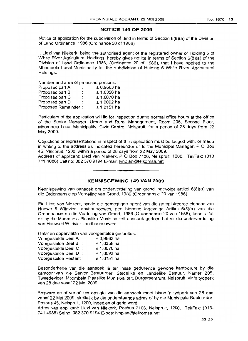#### **NOTICE 149 OF 2009**

Notice of application for the subdivision of land in terms of Section  $6(8)(a)$  of the Division of Land Ordinance, 1986 (Ordinance 20 of 1986)

I, Liezl van Niekerk, being the authorised agent of the registered owner of Holding 6 of White River Agricultural Holdings, hereby gives notice in terms of Section 6(8)(a) of the Division of Land Ordinance 1986, (Ordinance 20 of 1986), that I have applied to the Mbombela Local Municipality for the subdivision of Holding 6 White River Agricultural Holdings:

Number and area of proposed portions:

| Proposed part A     | ÷  | $± 0,9663$ ha |
|---------------------|----|---------------|
| Proposed part B     | ï. | $± 1,0358$ ha |
| Proposed part C     | :  | $± 1,0070$ ha |
| Proposed part D     |    | $± 1,0092$ ha |
| Proposed Remainder: |    | $± 1,0151$ ha |

Particulars of the application will lie for inspection during normal office hours at the office of the Senior Manager, Urban and Rural Management, Room 205, Second Floor, Mbombela Local Municipality, Civic Centre, Nelspruit, for a period of 28 days from 22 May 2009.

Objections or representations in respect of the application must be lodged with, or made in writing to the address as indicated hereunder or to the Municipal Manager,  $P$  O Box 45, Nelspruit, 1200, within a period of 28 days from 22 May 2009.

Address of applicant: Liezl van Niekerk, POBox 7106, Nelspruit, 1200. Tel/Fax: (013 741 4086) Cell no: 082 370 9194 E-mail: Ivnplan@telkomsa.net

#### **KENNISGEWING 149 VAN 2009**

**. -**

Kennisgewing van aansoek om onderverdeling van grond ingevolge artikel 6(8)(a) van die Ordonnansie op Verdeling van Grond, 1986 (Ordonnansie 20 van 1986)

Ek. Liezl van Niekerk, synde die gemagtigde agent van die geregistreerde eienaar van Hoewe 6 Witrivier Landbouhoewes, gee hiermee ingevolge Artikel 6(8)(a) van die Ordonnansie op die Verdeling van Grond, 1986 (Ordonnansie 20 van 1986), kennis dat ek by die Mbombela Plaaslike Munisipaliteit aansoek gedoen het vir die onderverdeling van Hoewe 6 Witrivier Landbouhoewes:

Getal en oppervlakte van voorgestelde gedeeltes:

| Voorgestelde Deel A : | $± 0,9663$ ha |
|-----------------------|---------------|
| Voorgeslelde Deel B:  | $± 1,0358$ ha |
| Voorgestelde Deel C:  | $± 1,0070$ ha |
| Voorgestelde Deel D:  | $± 1,0092$ ha |
| Voorgestelde Restant: | $± 1,0151$ ha |

Besonderhede van die aansoek Ie ter insae gedurende gewone kantoorure by die kantoor . van die Senior Bestuurder: Stedelike en Landelike Bestuur, Kamer 205, Tweedevloer, Mbombela Plaaslike Munisipaliteit, Burgersentrum, Nelspruit, vir 'n tydperk van 28 dae vanaf 22 Mei 2009.

Besware en of vertoë ten opsigte van die aansoek moet binne 'n tydperk van 28 dae vanaf 22 Mei 2009, skriftelik by die onderstaande adres of by die Munisipale Bestuurder, Posbus 45, Nelspruit, 1200, ingedien of gerig word.

Adres van applikant: Liezl van Niekerk, Posbus 7106, Nelspruit, 1200. Tel/Fax: (013- 741 4086) Selno: 082 370 9194 E-pos: Ivnplan@telkomsa.net